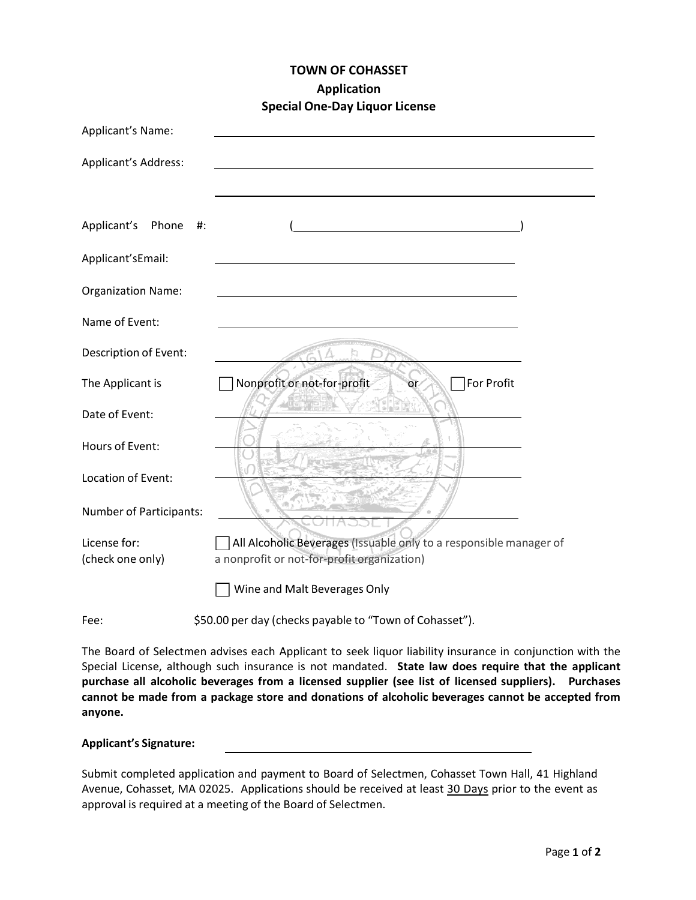# **TOWN OF COHASSET Application Special One‐Day Liquor License**

| Applicant's Name:                |                                                                                                                   |  |  |  |  |
|----------------------------------|-------------------------------------------------------------------------------------------------------------------|--|--|--|--|
| Applicant's Address:             |                                                                                                                   |  |  |  |  |
|                                  |                                                                                                                   |  |  |  |  |
| Applicant's Phone<br>$#$ :       |                                                                                                                   |  |  |  |  |
| Applicant'sEmail:                |                                                                                                                   |  |  |  |  |
| <b>Organization Name:</b>        |                                                                                                                   |  |  |  |  |
| Name of Event:                   |                                                                                                                   |  |  |  |  |
| Description of Event:            |                                                                                                                   |  |  |  |  |
| The Applicant is                 | Nonprofit or not-for-profit<br>For Profit<br>or                                                                   |  |  |  |  |
| Date of Event:                   | $\frac{1}{2}$ in [2]                                                                                              |  |  |  |  |
| Hours of Event:                  |                                                                                                                   |  |  |  |  |
| Location of Event:               |                                                                                                                   |  |  |  |  |
| Number of Participants:          |                                                                                                                   |  |  |  |  |
| License for:<br>(check one only) | All Alcoholic Beverages (Issuable only to a responsible manager of<br>a nonprofit or not-for-profit organization) |  |  |  |  |
|                                  | Wine and Malt Beverages Only                                                                                      |  |  |  |  |
| Fee:                             | \$50.00 per day (checks payable to "Town of Cohasset").                                                           |  |  |  |  |

The Board of Selectmen advises each Applicant to seek liquor liability insurance in conjunction with the Special License, although such insurance is not mandated. **State law does require that the applicant purchase all alcoholic beverages from a licensed supplier (see list of licensed suppliers). Purchases cannot be made from a package store and donations of alcoholic beverages cannot be accepted from anyone.**

#### **Applicant's Signature:**

Submit completed application and payment to Board of Selectmen, Cohasset Town Hall, 41 Highland Avenue, Cohasset, MA 02025. Applications should be received at least 30 Days prior to the event as approval is required at a meeting of the Board of Selectmen.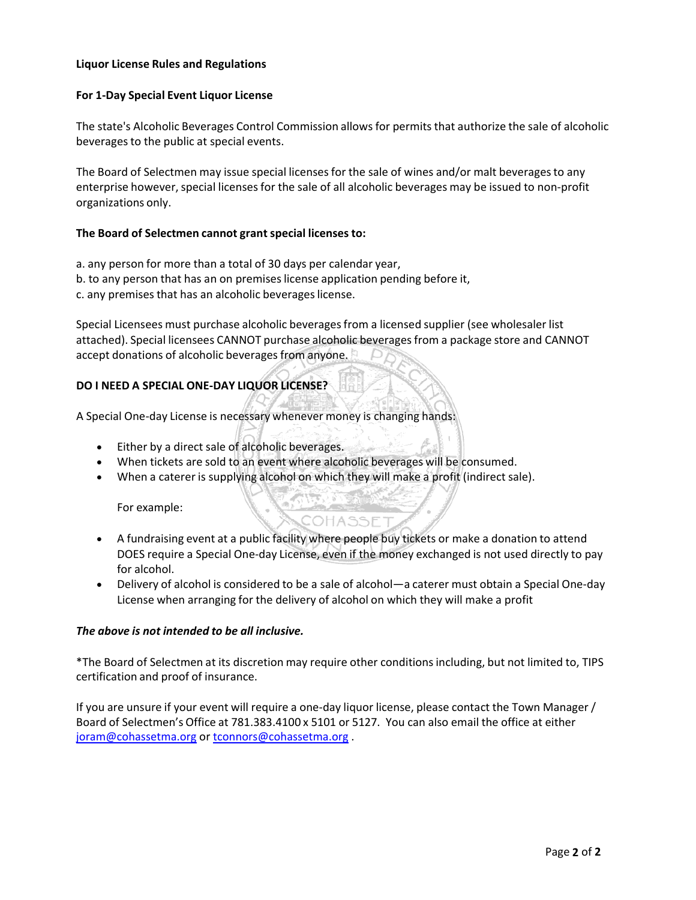## **Liquor License Rules and Regulations**

### **For 1‐Day Special Event Liquor License**

The state's Alcoholic Beverages Control Commission allows for permits that authorize the sale of alcoholic beverages to the public at special events.

The Board of Selectmen may issue special licenses for the sale of wines and/or malt beverages to any enterprise however, special licenses for the sale of all alcoholic beverages may be issued to non-profit organizations only.

## **The Board of Selectmen cannot grantspecial licenses to:**

- a. any person for more than a total of 30 days per calendar year,
- b. to any person that has an on premises license application pending before it,
- c. any premises that has an alcoholic beverages license.

Special Licensees must purchase alcoholic beveragesfrom a licensed supplier (see wholesaler list attached). Special licensees CANNOT purchase alcoholic beveragesfrom a package store and CANNOT accept donations of alcoholic beverages from anyone.

# **DO I NEED A SPECIAL ONE‐DAY LIQUOR LICENSE?**

A Special One‐day License is necessary whenever money is changing hands:

- Either by a direct sale of alcoholic beverages.
- When tickets are sold to an event where alcoholic beverages will be consumed.
- When a caterer is supplying alcohol on which they will make a profit (indirect sale).

For example:

 A fundraising event at a public facility where people buy tickets or make a donation to attend DOES require a Special One‐day License, even if the money exchanged is not used directly to pay for alcohol.

COHASSE"

 Delivery of alcohol is considered to be a sale of alcohol—a caterer must obtain a Special One‐day License when arranging for the delivery of alcohol on which they will make a profit

#### *The above is not intended to be all inclusive.*

\*The Board of Selectmen at its discretion may require other conditionsincluding, but not limited to, TIPS certification and proof of insurance.

If you are unsure if your event will require a one‐day liquor license, please contact the Town Manager / Board of Selectmen's Office at 781.383.4100 x 5101 or 5127. You can also email the office at either joram@cohassetma.org or tconnors@cohassetma.org .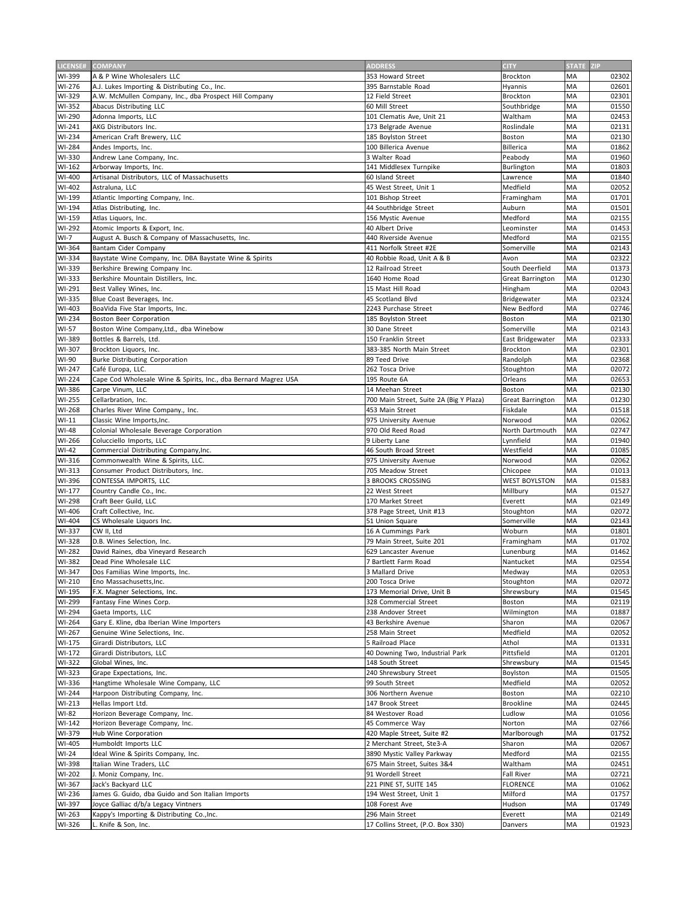| LICENSE# | <b>COMPANY</b>                                                  | <b>ADDRESS</b>                          | <b>CITY</b>          | STATE ZIP |       |
|----------|-----------------------------------------------------------------|-----------------------------------------|----------------------|-----------|-------|
| WI-399   | A & P Wine Wholesalers LLC                                      | 353 Howard Street                       | Brockton             | MA        | 02302 |
| WI-276   | A.J. Lukes Importing & Distributing Co., Inc.                   | 395 Barnstable Road                     | Hyannis              | MA        | 02601 |
| WI-329   | A.W. McMullen Company, Inc., dba Prospect Hill Company          | 12 Field Street                         | Brockton             | MA        | 02301 |
| WI-352   | Abacus Distributing LLC                                         | 60 Mill Street                          | Southbridge          | MA        | 01550 |
| WI-290   | Adonna Imports, LLC                                             | 101 Clematis Ave, Unit 21               | Waltham              | MA        | 02453 |
| WI-241   | AKG Distributors Inc.                                           | 173 Belgrade Avenue                     | Roslindale           | MA        | 02131 |
| WI-234   | American Craft Brewery, LLC                                     | 185 Bovlston Street                     | Boston               | MA        | 02130 |
| WI-284   | Andes Imports, Inc.                                             | 100 Billerica Avenue                    | Billerica            | MA        | 01862 |
| WI-330   | Andrew Lane Company, Inc.                                       | 3 Walter Road                           | Peabody              | MA        | 01960 |
| WI-162   | Arborway Imports, Inc.                                          | 141 Middlesex Turnpike                  | Burlington           | MA        | 01803 |
| WI-400   | Artisanal Distributors, LLC of Massachusetts                    | 60 Island Street                        | Lawrence             | MA        | 01840 |
| WI-402   | Astraluna, LLC                                                  | 45 West Street, Unit 1                  | Medfield             | MA        | 02052 |
| WI-199   | Atlantic Importing Company, Inc.                                | 101 Bishop Street                       | Framingham           | MA        | 01701 |
| WI-194   | Atlas Distributing, Inc.                                        | 44 Southbridge Street                   | Auburn               | MA        | 01501 |
| WI-159   | Atlas Liquors, Inc.                                             | 156 Mystic Avenue                       | Medford              | MA        | 02155 |
| WI-292   | Atomic Imports & Export, Inc.                                   | 40 Albert Drive                         | Leominster           | MA        | 01453 |
| $WI-7$   | August A. Busch & Company of Massachusetts, Inc.                | 440 Riverside Avenue                    | Medford              | MA        | 02155 |
| WI-364   | Bantam Cider Company                                            | 411 Norfolk Street #2E                  | Somerville           | MA        | 02143 |
| WI-334   | Baystate Wine Company, Inc. DBA Baystate Wine & Spirits         | 40 Robbie Road, Unit A & B              | Avon                 | MA        | 02322 |
| WI-339   | Berkshire Brewing Company Inc.                                  | 12 Railroad Street                      | South Deerfield      | MA        | 01373 |
| WI-333   | Berkshire Mountain Distillers, Inc.                             | 1640 Home Road                          | Great Barrington     | ΜA        | 01230 |
| WI-291   | Best Valley Wines, Inc.                                         | 15 Mast Hill Road                       | Hingham              | MA        | 02043 |
| WI-335   | Blue Coast Beverages, Inc.                                      | 45 Scotland Blvd                        | Bridgewater          | MA        | 02324 |
| WI-403   | BoaVida Five Star Imports, Inc.                                 | 2243 Purchase Street                    | New Bedford          | MA        | 02746 |
| WI-234   | Boston Beer Corporation                                         | 185 Boylston Street                     | Boston               | MA        | 02130 |
| WI-57    | Boston Wine Company, Ltd., dba Winebow                          | 30 Dane Street                          | Somerville           | MA        | 02143 |
| WI-389   | Bottles & Barrels, Ltd.                                         | 150 Franklin Street                     | East Bridgewater     | MA        | 02333 |
| WI-307   | Brockton Liquors, Inc.                                          | 383-385 North Main Street               | Brockton             | MA        | 02301 |
| WI-90    | Burke Distributing Corporation                                  | 89 Teed Drive                           | Randolph             | MA        | 02368 |
| WI-247   | Café Europa, LLC.                                               | 262 Tosca Drive                         | Stoughton            | MA        | 02072 |
| WI-224   | Cape Cod Wholesale Wine & Spirits, Inc., dba Bernard Magrez USA | 195 Route 6A                            | Orleans              | MA        | 02653 |
| WI-386   | Carpe Vinum, LLC                                                | 14 Meehan Street                        | Boston               | MA        | 02130 |
| WI-255   | Cellarbration, Inc.                                             | 700 Main Street, Suite 2A (Big Y Plaza) | Great Barrington     | MA        | 01230 |
| WI-268   | Charles River Wine Company., Inc.                               | 453 Main Street                         | Fiskdale             | MA        | 01518 |
| $WI-11$  | Classic Wine Imports, Inc.                                      | 975 University Avenue                   | Norwood              | MA        | 02062 |
| WI-48    | Colonial Wholesale Beverage Corporation                         | 970 Old Reed Road                       | North Dartmouth      | MA        | 02747 |
| WI-266   | Colucciello Imports, LLC                                        | 9 Liberty Lane                          | Lynnfield            | MA        | 01940 |
| WI-42    | Commercial Distributing Company, Inc.                           | 46 South Broad Street                   | Westfield            | MA        | 01085 |
| WI-316   | Commonwealth Wine & Spirits, LLC.                               | 975 University Avenue                   | Norwood              | MA        | 02062 |
| WI-313   | Consumer Product Distributors, Inc.                             | 705 Meadow Street                       | Chicopee             | MA        | 01013 |
| WI-396   | CONTESSA IMPORTS, LLC                                           | <b>3 BROOKS CROSSING</b>                | <b>WEST BOYLSTON</b> | MA        | 01583 |
| WI-177   | Country Candle Co., Inc.                                        | 22 West Street                          | Millbury             | MA        | 01527 |
| WI-298   | Craft Beer Guild, LLC                                           | 170 Market Street                       | Everett              | MA        | 02149 |
| WI-406   | Craft Collective, Inc.                                          | 378 Page Street, Unit #13               | Stoughton            | MA        | 02072 |
| WI-404   | CS Wholesale Liguors Inc.                                       | 51 Union Square                         | Somerville           | MA        | 02143 |
| WI-337   | CW II, Ltd                                                      | 16 A Cummings Park                      | Woburn               | MA        | 01801 |
| WI-328   | D.B. Wines Selection, Inc.                                      | 79 Main Street, Suite 201               | Framingham           | MA        | 01702 |
| WI-282   | David Raines, dba Vineyard Research                             | 629 Lancaster Avenue                    | Lunenburg            | ΜA        | 01462 |
| WI-382   | Dead Pine Wholesale LLC                                         | 7 Bartlett Farm Road                    | Nantucket            | MA        | 02554 |
| WI-347   | Dos Familias Wine Imports, Inc.                                 | 3 Mallard Drive                         | Medway               | МA        | 02053 |
| WI-210   | Eno Massachusetts, Inc.                                         | 200 Tosca Drive                         | Stoughton            | MA        | 02072 |
| WI-195   | F.X. Magner Selections, Inc.                                    | 173 Memorial Drive, Unit B              | Shrewsbury           | ΜA        | 01545 |
| WI-299   | Fantasy Fine Wines Corp.                                        | 328 Commercial Street                   | Boston               | MA        | 02119 |
| WI-294   | Gaeta Imports, LLC                                              | 238 Andover Street                      | Wilmington           | ΜA        | 01887 |
| WI-264   | Gary E. Kline, dba Iberian Wine Importers                       | 43 Berkshire Avenue                     | Sharon               | MA        | 02067 |
| WI-267   | Genuine Wine Selections, Inc.                                   | 258 Main Street                         | Medfield             | ΜA        | 02052 |
| WI-175   | Girardi Distributors, LLC                                       | 5 Railroad Place                        | Athol                | MA        | 01331 |
| WI-172   | Girardi Distributors, LLC                                       | 40 Downing Two, Industrial Park         | Pittsfield           | MA        | 01201 |
| WI-322   | Global Wines, Inc.                                              | 148 South Street                        | Shrewsbury           | MA        | 01545 |
| WI-323   | Grape Expectations, Inc.                                        | 240 Shrewsbury Street                   | Boylston             | MA        | 01505 |
| WI-336   | Hangtime Wholesale Wine Company, LLC                            | 99 South Street                         | Medfield             | MA        | 02052 |
| WI-244   | Harpoon Distributing Company, Inc.                              | 306 Northern Avenue                     | Boston               | MA        | 02210 |
| $WI-213$ | Hellas Import Ltd.                                              | 147 Brook Street                        | Brookline            | МA        | 02445 |
| WI-82    | Horizon Beverage Company, Inc.                                  | 84 Westover Road                        | Ludlow               | MA        | 01056 |
| WI-142   | Horizon Beverage Company, Inc.                                  | 45 Commerce Way                         | Norton               | MA        | 02766 |
| WI-379   | Hub Wine Corporation                                            | 420 Maple Street, Suite #2              | Marlborough          | ΜA        | 01752 |
| WI-405   | Humboldt Imports LLC                                            | 2 Merchant Street, Ste3-A               | Sharon               | MA        | 02067 |
| $WI-24$  | Ideal Wine & Spirits Company, Inc.                              | 3890 Mystic Valley Parkway              | Medford              | MA        | 02155 |
| WI-398   | Italian Wine Traders, LLC                                       | 675 Main Street, Suites 3&4             | Waltham              | MA        | 02451 |
| WI-202   | J. Moniz Company, Inc.                                          | 91 Wordell Street                       | <b>Fall River</b>    | MA        | 02721 |
| WI-367   | Jack's Backyard LLC                                             | 221 PINE ST, SUITE 145                  | <b>FLORENCE</b>      | MA        | 01062 |
| WI-236   | James G. Guido, dba Guido and Son Italian Imports               | 194 West Street, Unit 1                 | Milford              | MA        | 01757 |
| WI-397   | Joyce Galliac d/b/a Legacy Vintners                             | 108 Forest Ave                          | Hudson               | MA        | 01749 |
| WI-263   | Kappy's Importing & Distributing Co., Inc.                      | 296 Main Street                         | Everett              | ΜA        | 02149 |
| WI-326   | L. Knife & Son, Inc.                                            | 17 Collins Street, (P.O. Box 330)       | Danvers              | МA        | 01923 |